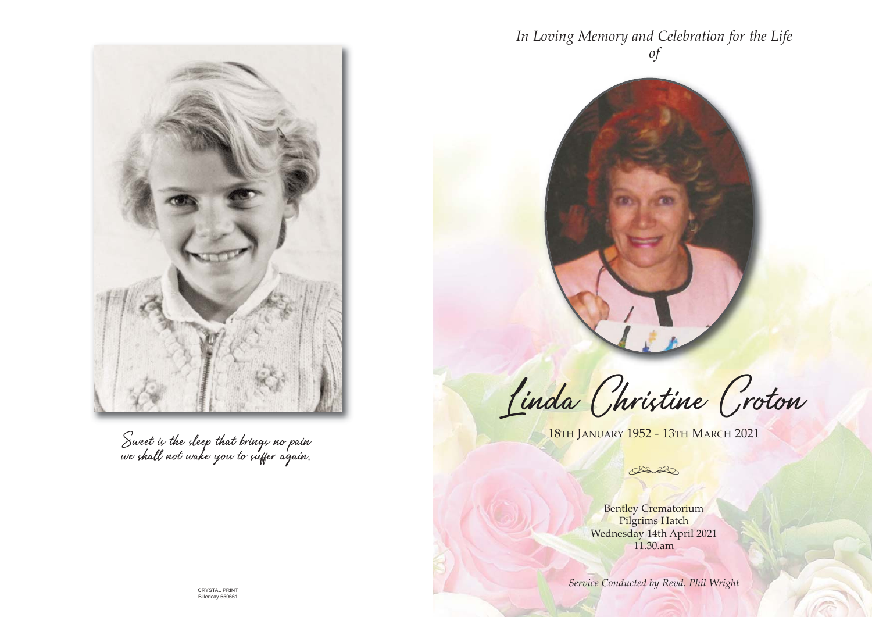



Sweet is the sleep that brings no pain we shall not wake you to suffer again.

Linda Christine Croton

18th January 1952 - 13th March 2021

Da

Bentley Crematorium Pilgrims Hatch Wednesday 14th April 2021 11.30.am

**Service Conducted by Revd. Phil Wright** CRYSTAL PRINT